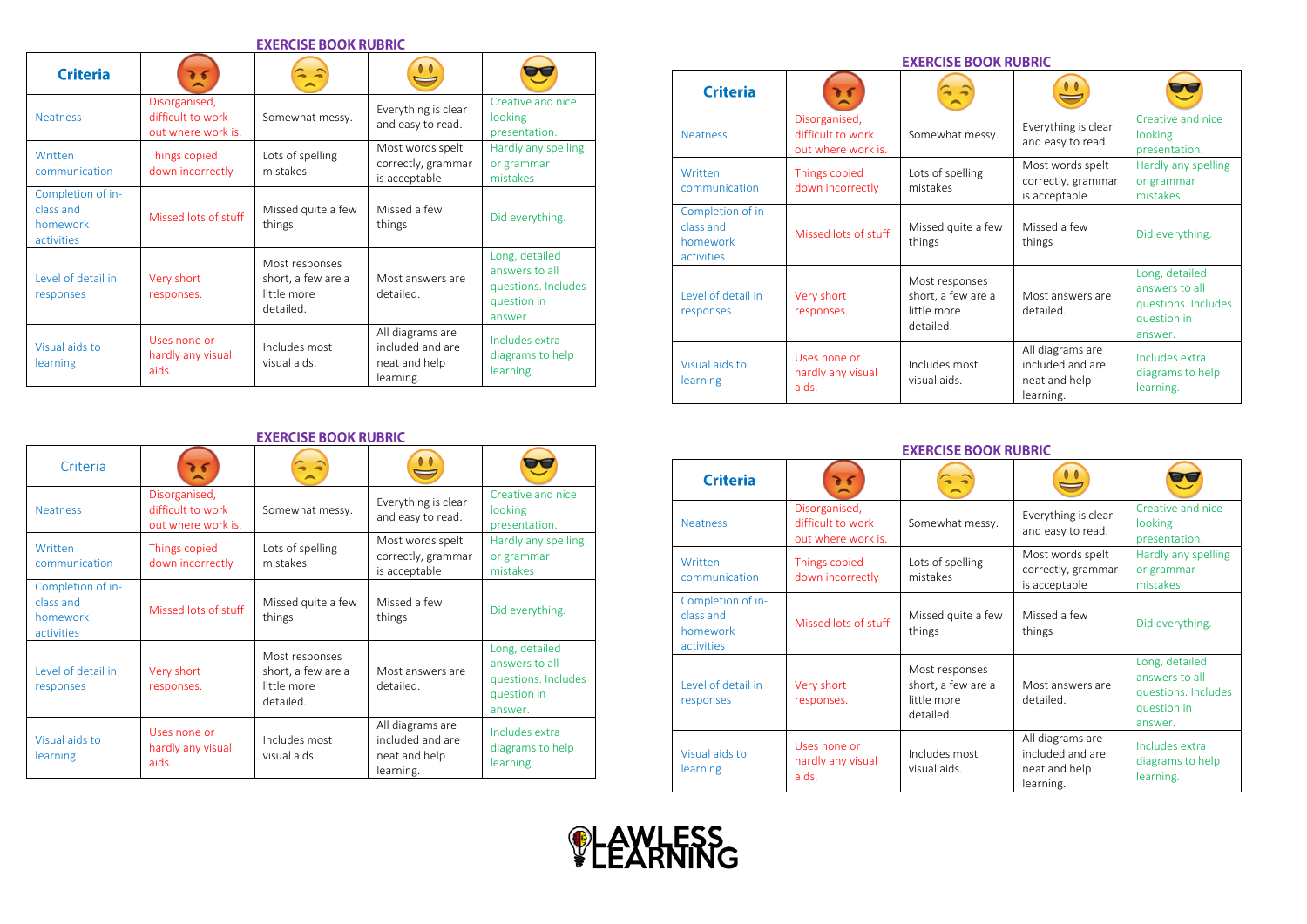| <b>EXERCISE BOOK RUBRIC</b>                              |                                                          |                                                                  |                                                                    |                                                                                   |  |  |  |
|----------------------------------------------------------|----------------------------------------------------------|------------------------------------------------------------------|--------------------------------------------------------------------|-----------------------------------------------------------------------------------|--|--|--|
| <b>Criteria</b>                                          |                                                          |                                                                  |                                                                    |                                                                                   |  |  |  |
| <b>Neatness</b>                                          | Disorganised,<br>difficult to work<br>out where work is. | Somewhat messy.                                                  | Everything is clear<br>and easy to read.                           | Creative and nice<br>looking<br>presentation.                                     |  |  |  |
| Written<br>communication                                 | Things copied<br>down incorrectly                        | Lots of spelling<br>mistakes                                     | Most words spelt<br>correctly, grammar<br>is acceptable            | Hardly any spelling<br>or grammar<br>mistakes                                     |  |  |  |
| Completion of in-<br>class and<br>homework<br>activities | Missed lots of stuff                                     | Missed quite a few<br>things                                     | Missed a few<br>things                                             | Did everything.                                                                   |  |  |  |
| Level of detail in<br>responses                          | Very short<br>responses.                                 | Most responses<br>short, a few are a<br>little more<br>detailed. | Most answers are<br>detailed.                                      | Long, detailed<br>answers to all<br>questions. Includes<br>question in<br>answer. |  |  |  |
| Visual aids to<br>learning                               | Uses none or<br>hardly any visual<br>aids.               | Includes most<br>visual aids.                                    | All diagrams are<br>included and are<br>neat and help<br>learning. | Includes extra<br>diagrams to help<br>learning.                                   |  |  |  |

## **EXERCISE BOOK RUBRIC**

| Criteria                                                 |                                                          |                                                                  |                                                                    |                                                                                   |  |  |
|----------------------------------------------------------|----------------------------------------------------------|------------------------------------------------------------------|--------------------------------------------------------------------|-----------------------------------------------------------------------------------|--|--|
| <b>Neatness</b>                                          | Disorganised,<br>difficult to work<br>out where work is. | Somewhat messy.                                                  | Everything is clear<br>and easy to read.                           | Creative and nice<br>looking<br>presentation.                                     |  |  |
| Written<br>communication                                 | Things copied<br>down incorrectly                        | Lots of spelling<br>mistakes                                     | Most words spelt<br>correctly, grammar<br>is acceptable            | Hardly any spelling<br>or grammar<br>mistakes                                     |  |  |
| Completion of in-<br>class and<br>homework<br>activities | Missed lots of stuff                                     | Missed quite a few<br>things                                     | Missed a few<br>things                                             | Did everything.                                                                   |  |  |
| Level of detail in<br>responses                          | Very short<br>responses.                                 | Most responses<br>short, a few are a<br>little more<br>detailed. | Most answers are<br>detailed.                                      | Long, detailed<br>answers to all<br>questions. Includes<br>question in<br>answer. |  |  |
| Visual aids to<br>learning                               | Uses none or<br>hardly any visual<br>aids.               | Includes most<br>visual aids.                                    | All diagrams are<br>included and are<br>neat and help<br>learning. | Includes extra<br>diagrams to help<br>learning.                                   |  |  |

## **EXERCISE BOOK RUBRIC**  $\mathbf{C}$  $25$  $\hat{z}$ E **Criteria**  $\sim$ Disorganised, Creative and nice Somewhat messy. Everything is clear difficult to work looking Neatness and easy to read. out where work is. presentation. Most words spelt Hardly any spelling Lots of spelling Written Things copied correctly, grammar or grammar mistakes communication down incorrectly is acceptable mistakes Completion of in class and Missed a few<br>things Missed lots of stuff Missed quite a few Did everything. things homework activities Long, detailed Most responses answers to all Level of detail in short, a few are a Very short Most answers are questions. Includes responses responses. little more detailed. question in detailed. answer. All diagrams are Uses none or Includes extra Visual aids to Includes most included and are hardly any visual diagrams to help

## **EXERCISE BOOK RUBRIC**

neat and help learning.

learning.

visual aids.

| <b>Criteria</b>                                          |                                                          | $\sim$ $\sim$                                                    |                                                                    |                                                                                   |
|----------------------------------------------------------|----------------------------------------------------------|------------------------------------------------------------------|--------------------------------------------------------------------|-----------------------------------------------------------------------------------|
| <b>Neatness</b>                                          | Disorganised,<br>difficult to work<br>out where work is. | Somewhat messy.                                                  | Everything is clear<br>and easy to read.                           | Creative and nice<br>looking<br>presentation.                                     |
| Written<br>communication                                 | Things copied<br>down incorrectly                        | Lots of spelling<br>mistakes                                     | Most words spelt<br>correctly, grammar<br>is acceptable            | Hardly any spelling<br>or grammar<br>mistakes                                     |
| Completion of in-<br>class and<br>homework<br>activities | Missed lots of stuff                                     | Missed quite a few<br>things                                     | Missed a few<br>things                                             | Did everything.                                                                   |
| Level of detail in<br>responses                          | Very short<br>responses.                                 | Most responses<br>short, a few are a<br>little more<br>detailed. | Most answers are<br>detailed.                                      | Long, detailed<br>answers to all<br>questions. Includes<br>question in<br>answer. |
| Visual aids to<br>learning                               | Uses none or<br>hardly any visual<br>aids.               | Includes most<br>visual aids.                                    | All diagrams are<br>included and are<br>neat and help<br>learning. | Includes extra<br>diagrams to help<br>learning.                                   |



learning

aids.